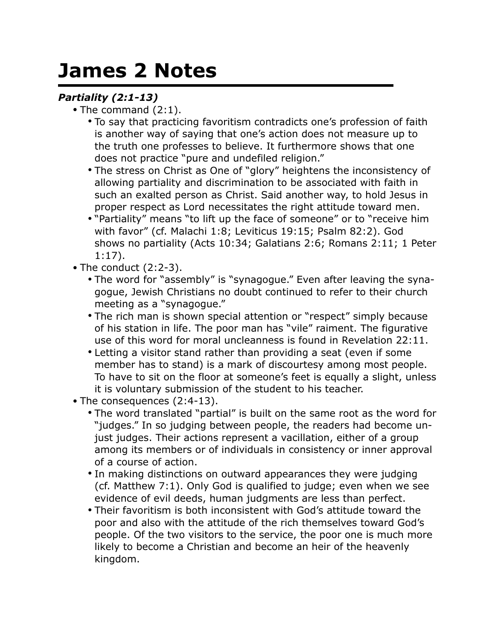## **James 2 Notes**

## *Partiality (2:1-13)*

- The command (2:1).
	- To say that practicing favoritism contradicts one's profession of faith is another way of saying that one's action does not measure up to the truth one professes to believe. It furthermore shows that one does not practice "pure and undefiled religion."
	- The stress on Christ as One of "glory" heightens the inconsistency of allowing partiality and discrimination to be associated with faith in such an exalted person as Christ. Said another way, to hold Jesus in proper respect as Lord necessitates the right attitude toward men.
	- "Partiality" means "to lift up the face of someone" or to "receive him with favor" (cf. Malachi 1:8; Leviticus 19:15; Psalm 82:2). God shows no partiality (Acts 10:34; Galatians 2:6; Romans 2:11; 1 Peter 1:17).
- The conduct (2:2-3).
	- The word for "assembly" is "synagogue." Even after leaving the synagogue, Jewish Christians no doubt continued to refer to their church meeting as a "synagogue."
	- The rich man is shown special attention or "respect" simply because of his station in life. The poor man has "vile" raiment. The figurative use of this word for moral uncleanness is found in Revelation 22:11.
	- Letting a visitor stand rather than providing a seat (even if some member has to stand) is a mark of discourtesy among most people. To have to sit on the floor at someone's feet is equally a slight, unless it is voluntary submission of the student to his teacher.
- The consequences (2:4-13).
	- The word translated "partial" is built on the same root as the word for "judges." In so judging between people, the readers had become unjust judges. Their actions represent a vacillation, either of a group among its members or of individuals in consistency or inner approval of a course of action.
	- In making distinctions on outward appearances they were judging (cf. Matthew 7:1). Only God is qualified to judge; even when we see evidence of evil deeds, human judgments are less than perfect.
	- Their favoritism is both inconsistent with God's attitude toward the poor and also with the attitude of the rich themselves toward God's people. Of the two visitors to the service, the poor one is much more likely to become a Christian and become an heir of the heavenly kingdom.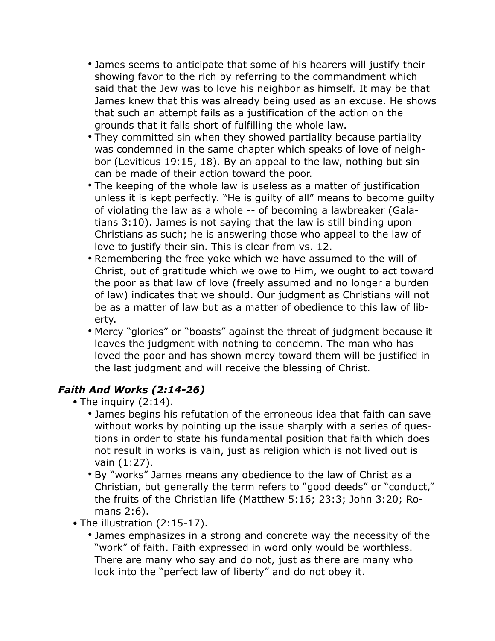- James seems to anticipate that some of his hearers will justify their showing favor to the rich by referring to the commandment which said that the Jew was to love his neighbor as himself. It may be that James knew that this was already being used as an excuse. He shows that such an attempt fails as a justification of the action on the grounds that it falls short of fulfilling the whole law.
- They committed sin when they showed partiality because partiality was condemned in the same chapter which speaks of love of neighbor (Leviticus 19:15, 18). By an appeal to the law, nothing but sin can be made of their action toward the poor.
- The keeping of the whole law is useless as a matter of justification unless it is kept perfectly. "He is guilty of all" means to become guilty of violating the law as a whole -- of becoming a lawbreaker (Galatians 3:10). James is not saying that the law is still binding upon Christians as such; he is answering those who appeal to the law of love to justify their sin. This is clear from vs. 12.
- Remembering the free yoke which we have assumed to the will of Christ, out of gratitude which we owe to Him, we ought to act toward the poor as that law of love (freely assumed and no longer a burden of law) indicates that we should. Our judgment as Christians will not be as a matter of law but as a matter of obedience to this law of liberty.
- Mercy "glories" or "boasts" against the threat of judgment because it leaves the judgment with nothing to condemn. The man who has loved the poor and has shown mercy toward them will be justified in the last judgment and will receive the blessing of Christ.

## *Faith And Works (2:14-26)*

- The inquiry (2:14).
	- James begins his refutation of the erroneous idea that faith can save without works by pointing up the issue sharply with a series of questions in order to state his fundamental position that faith which does not result in works is vain, just as religion which is not lived out is vain (1:27).
	- By "works" James means any obedience to the law of Christ as a Christian, but generally the term refers to "good deeds" or "conduct," the fruits of the Christian life (Matthew 5:16; 23:3; John 3:20; Romans 2:6).
- The illustration (2:15-17).
	- James emphasizes in a strong and concrete way the necessity of the "work" of faith. Faith expressed in word only would be worthless. There are many who say and do not, just as there are many who look into the "perfect law of liberty" and do not obey it.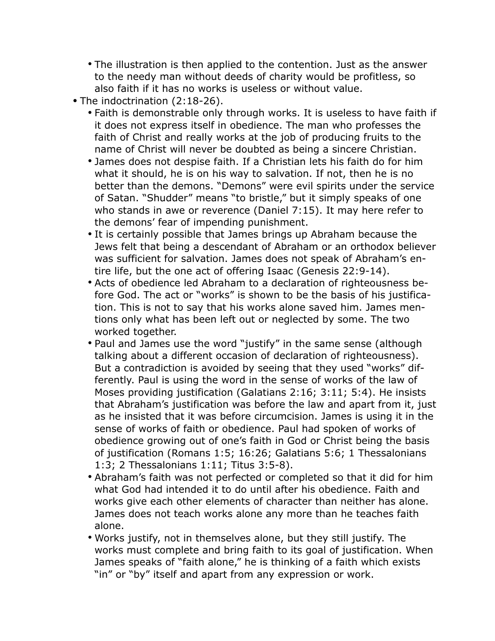- The illustration is then applied to the contention. Just as the answer to the needy man without deeds of charity would be profitless, so also faith if it has no works is useless or without value.
- The indoctrination (2:18-26).
	- Faith is demonstrable only through works. It is useless to have faith if it does not express itself in obedience. The man who professes the faith of Christ and really works at the job of producing fruits to the name of Christ will never be doubted as being a sincere Christian.
	- James does not despise faith. If a Christian lets his faith do for him what it should, he is on his way to salvation. If not, then he is no better than the demons. "Demons" were evil spirits under the service of Satan. "Shudder" means "to bristle," but it simply speaks of one who stands in awe or reverence (Daniel 7:15). It may here refer to the demons' fear of impending punishment.
	- It is certainly possible that James brings up Abraham because the Jews felt that being a descendant of Abraham or an orthodox believer was sufficient for salvation. James does not speak of Abraham's entire life, but the one act of offering Isaac (Genesis 22:9-14).
	- Acts of obedience led Abraham to a declaration of righteousness before God. The act or "works" is shown to be the basis of his justification. This is not to say that his works alone saved him. James mentions only what has been left out or neglected by some. The two worked together.
	- Paul and James use the word "justify" in the same sense (although talking about a different occasion of declaration of righteousness). But a contradiction is avoided by seeing that they used "works" differently. Paul is using the word in the sense of works of the law of Moses providing justification (Galatians 2:16; 3:11; 5:4). He insists that Abraham's justification was before the law and apart from it, just as he insisted that it was before circumcision. James is using it in the sense of works of faith or obedience. Paul had spoken of works of obedience growing out of one's faith in God or Christ being the basis of justification (Romans 1:5; 16:26; Galatians 5:6; 1 Thessalonians 1:3; 2 Thessalonians 1:11; Titus 3:5-8).
	- Abraham's faith was not perfected or completed so that it did for him what God had intended it to do until after his obedience. Faith and works give each other elements of character than neither has alone. James does not teach works alone any more than he teaches faith alone.
	- Works justify, not in themselves alone, but they still justify. The works must complete and bring faith to its goal of justification. When James speaks of "faith alone," he is thinking of a faith which exists "in" or "by" itself and apart from any expression or work.